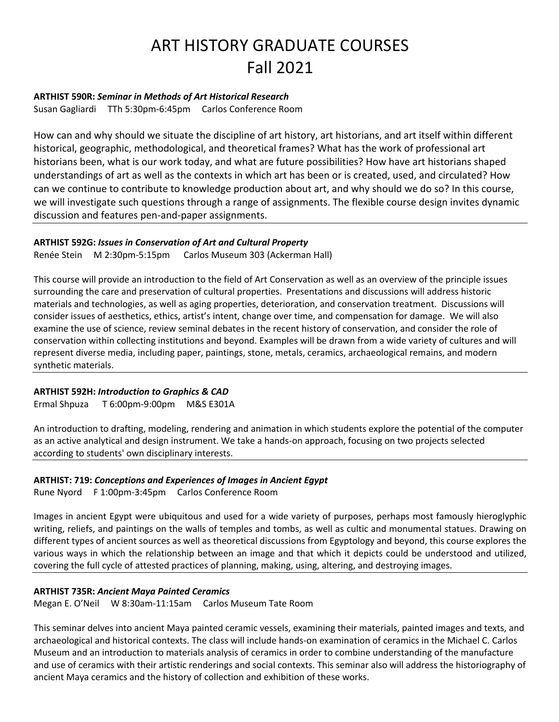# ART HISTORY GRADUATE COURSES Fall 2021

## **ARTHIST 590R:** *Seminar in Methods of Art Historical Research*

Susan Gagliardi TTh 5:30pm-6:45pm Carlos Conference Room

How can and why should we situate the discipline of art history, art historians, and art itself within different historical, geographic, methodological, and theoretical frames? What has the work of professional art historians been, what is our work today, and what are future possibilities? How have art historians shaped understandings of art as well as the contexts in which art has been or is created, used, and circulated? How can we continue to contribute to knowledge production about art, and why should we do so? In this course, we will investigate such questions through a range of assignments. The flexible course design invites dynamic discussion and features pen-and-paper assignments.

# **ARTHIST 592G:** *Issues in Conservation of Art and Cultural Property*

Renée Stein M 2:30pm-5:15pm Carlos Museum 303 (Ackerman Hall)

This course will provide an introduction to the field of Art Conservation as well as an overview of the principle issues surrounding the care and preservation of cultural properties. Presentations and discussions will address historic materials and technologies, as well as aging properties, deterioration, and conservation treatment. Discussions will consider issues of aesthetics, ethics, artist's intent, change over time, and compensation for damage. We will also examine the use of science, review seminal debates in the recent history of conservation, and consider the role of conservation within collecting institutions and beyond. Examples will be drawn from a wide variety of cultures and will represent diverse media, including paper, paintings, stone, metals, ceramics, archaeological remains, and modern synthetic materials.

# **ARTHIST 592H:** *Introduction to Graphics & CAD*

Ermal Shpuza T 6:00pm-9:00pm M&S E301A

An introduction to drafting, modeling, rendering and animation in which students explore the potential of the computer as an active analytical and design instrument. We take a hands-on approach, focusing on two projects selected according to students' own disciplinary interests.

# **ARTHIST: 719:** *Conceptions and Experiences of Images in Ancient Egypt*

Rune Nyord F 1:00pm-3:45pm Carlos Conference Room

Images in ancient Egypt were ubiquitous and used for a wide variety of purposes, perhaps most famously hieroglyphic writing, reliefs, and paintings on the walls of temples and tombs, as well as cultic and monumental statues. Drawing on different types of ancient sources as well as theoretical discussions from Egyptology and beyond, this course explores the various ways in which the relationship between an image and that which it depicts could be understood and utilized, covering the full cycle of attested practices of planning, making, using, altering, and destroying images.

### **ARTHIST 735R:** *Ancient Maya Painted Ceramics*

Megan E. O'Neil W 8:30am-11:15am Carlos Museum Tate Room

This seminar delves into ancient Maya painted ceramic vessels, examining their materials, painted images and texts, and archaeological and historical contexts. The class will include hands-on examination of ceramics in the Michael C. Carlos Museum and an introduction to materials analysis of ceramics in order to combine understanding of the manufacture and use of ceramics with their artistic renderings and social contexts. This seminar also will address the historiography of ancient Maya ceramics and the history of collection and exhibition of these works.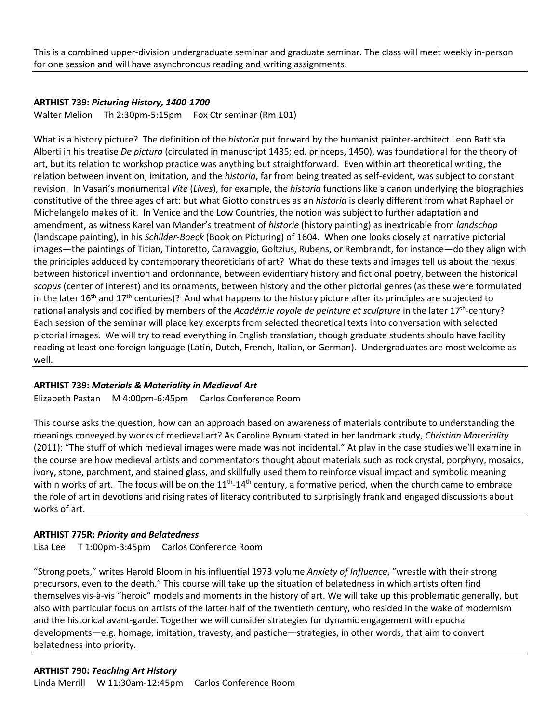This is a combined upper-division undergraduate seminar and graduate seminar. The class will meet weekly in-person for one session and will have asynchronous reading and writing assignments.

### **ARTHIST 739:** *Picturing History, 1400-1700*

Walter Melion Th 2:30pm-5:15pm Fox Ctr seminar (Rm 101)

What is a history picture? The definition of the *historia* put forward by the humanist painter-architect Leon Battista Alberti in his treatise *De pictura* (circulated in manuscript 1435; ed. princeps, 1450), was foundational for the theory of art, but its relation to workshop practice was anything but straightforward. Even within art theoretical writing, the relation between invention, imitation, and the *historia*, far from being treated as self-evident, was subject to constant revision. In Vasari's monumental *Vite* (*Lives*), for example, the *historia* functions like a canon underlying the biographies constitutive of the three ages of art: but what Giotto construes as an *historia* is clearly different from what Raphael or Michelangelo makes of it. In Venice and the Low Countries, the notion was subject to further adaptation and amendment, as witness Karel van Mander's treatment of *historie* (history painting) as inextricable from *landschap*  (landscape painting), in his *Schilder-Boeck* (Book on Picturing) of 1604. When one looks closely at narrative pictorial images—the paintings of Titian, Tintoretto, Caravaggio, Goltzius, Rubens, or Rembrandt, for instance—do they align with the principles adduced by contemporary theoreticians of art? What do these texts and images tell us about the nexus between historical invention and ordonnance, between evidentiary history and fictional poetry, between the historical *scopus* (center of interest) and its ornaments, between history and the other pictorial genres (as these were formulated in the later 16<sup>th</sup> and 17<sup>th</sup> centuries)? And what happens to the history picture after its principles are subjected to rational analysis and codified by members of the *Académie royale de peinture et sculpture* in the later 17th-century? Each session of the seminar will place key excerpts from selected theoretical texts into conversation with selected pictorial images. We will try to read everything in English translation, though graduate students should have facility reading at least one foreign language (Latin, Dutch, French, Italian, or German). Undergraduates are most welcome as well.

### **ARTHIST 739:** *Materials & Materiality in Medieval Art*

Elizabeth Pastan M 4:00pm-6:45pm Carlos Conference Room

This course asks the question, how can an approach based on awareness of materials contribute to understanding the meanings conveyed by works of medieval art? As Caroline Bynum stated in her landmark study, *Christian Materiality*  (2011): "The stuff of which medieval images were made was not incidental." At play in the case studies we'll examine in the course are how medieval artists and commentators thought about materials such as rock crystal, porphyry, mosaics, ivory, stone, parchment, and stained glass, and skillfully used them to reinforce visual impact and symbolic meaning within works of art. The focus will be on the  $11^{th}$ - $14^{th}$  century, a formative period, when the church came to embrace the role of art in devotions and rising rates of literacy contributed to surprisingly frank and engaged discussions about works of art.

### **ARTHIST 775R:** *Priority and Belatedness*

Lisa Lee T 1:00pm-3:45pm Carlos Conference Room

"Strong poets," writes Harold Bloom in his influential 1973 volume *Anxiety of Influence*, "wrestle with their strong precursors, even to the death." This course will take up the situation of belatedness in which artists often find themselves vis-à-vis "heroic" models and moments in the history of art. We will take up this problematic generally, but also with particular focus on artists of the latter half of the twentieth century, who resided in the wake of modernism and the historical avant-garde. Together we will consider strategies for dynamic engagement with epochal developments—e.g. homage, imitation, travesty, and pastiche—strategies, in other words, that aim to convert belatedness into priority.

#### **ARTHIST 790:** *Teaching Art History*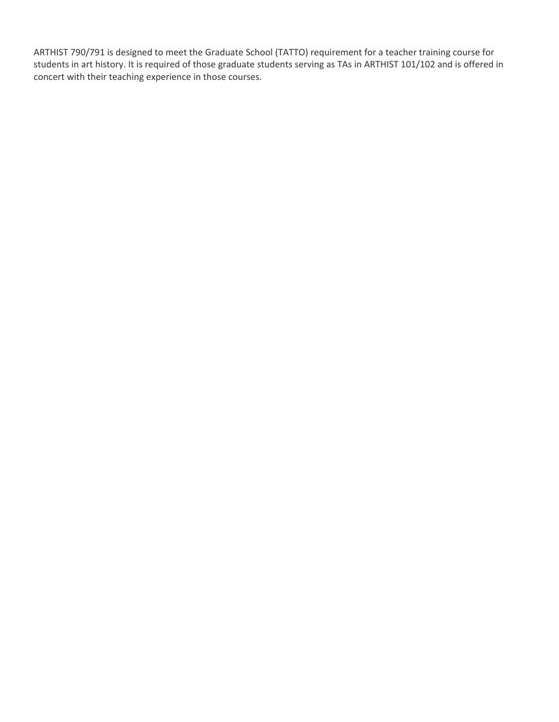ARTHIST 790/791 is designed to meet the Graduate School (TATTO) requirement for a teacher training course for students in art history. It is required of those graduate students serving as TAs in ARTHIST 101/102 and is offered in concert with their teaching experience in those courses.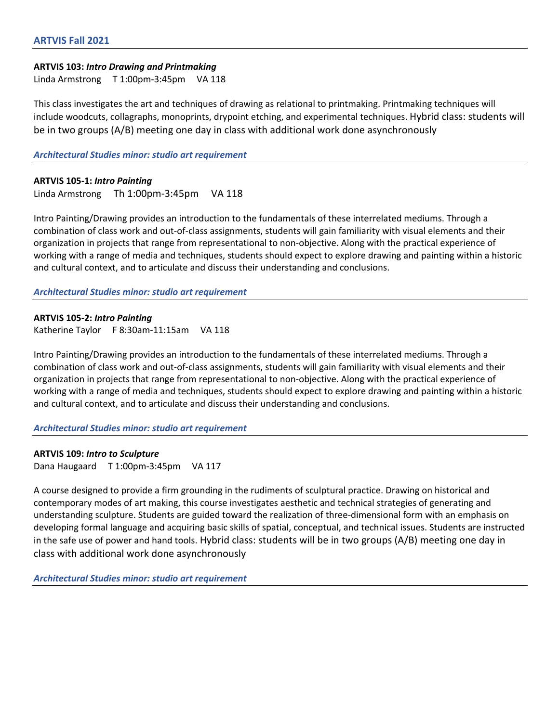#### **ARTVIS 103:** *Intro Drawing and Printmaking*

Linda Armstrong T 1:00pm-3:45pm VA 118

This class investigates the art and techniques of drawing as relational to printmaking. Printmaking techniques will include woodcuts, collagraphs, monoprints, drypoint etching, and experimental techniques. Hybrid class: students will be in two groups (A/B) meeting one day in class with additional work done asynchronously

*Architectural Studies minor: studio art requirement*

# **ARTVIS 105-1:** *Intro Painting*

Linda Armstrong Th 1:00pm-3:45pm VA 118

Intro Painting/Drawing provides an introduction to the fundamentals of these interrelated mediums. Through a combination of class work and out-of-class assignments, students will gain familiarity with visual elements and their organization in projects that range from representational to non-objective. Along with the practical experience of working with a range of media and techniques, students should expect to explore drawing and painting within a historic and cultural context, and to articulate and discuss their understanding and conclusions.

*Architectural Studies minor: studio art requirement*

**ARTVIS 105-2:** *Intro Painting* Katherine Taylor F 8:30am-11:15am VA 118

Intro Painting/Drawing provides an introduction to the fundamentals of these interrelated mediums. Through a combination of class work and out-of-class assignments, students will gain familiarity with visual elements and their organization in projects that range from representational to non-objective. Along with the practical experience of working with a range of media and techniques, students should expect to explore drawing and painting within a historic and cultural context, and to articulate and discuss their understanding and conclusions.

*Architectural Studies minor: studio art requirement*

### **ARTVIS 109:** *Intro to Sculpture*

Dana Haugaard T 1:00pm-3:45pm VA 117

A course designed to provide a firm grounding in the rudiments of sculptural practice. Drawing on historical and contemporary modes of art making, this course investigates aesthetic and technical strategies of generating and understanding sculpture. Students are guided toward the realization of three-dimensional form with an emphasis on developing formal language and acquiring basic skills of spatial, conceptual, and technical issues. Students are instructed in the safe use of power and hand tools. Hybrid class: students will be in two groups (A/B) meeting one day in class with additional work done asynchronously

*Architectural Studies minor: studio art requirement*